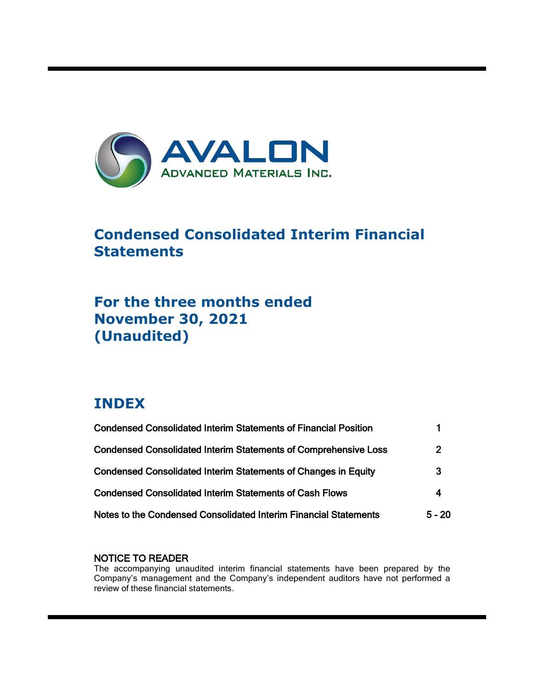

# **Condensed Consolidated Interim Financial Statements**

# **For the three months ended November 30, 2021 (Unaudited)**

# **INDEX**

ı

| <b>Condensed Consolidated Interim Statements of Financial Position</b> |              |
|------------------------------------------------------------------------|--------------|
| <b>Condensed Consolidated Interim Statements of Comprehensive Loss</b> | $\mathbf{2}$ |
| <b>Condensed Consolidated Interim Statements of Changes in Equity</b>  | 3            |
| <b>Condensed Consolidated Interim Statements of Cash Flows</b>         | 4            |
| Notes to the Condensed Consolidated Interim Financial Statements       | $5 - 20$     |

# NOTICE TO READER

The accompanying unaudited interim financial statements have been prepared by the Company's management and the Company's independent auditors have not performed a review of these financial statements.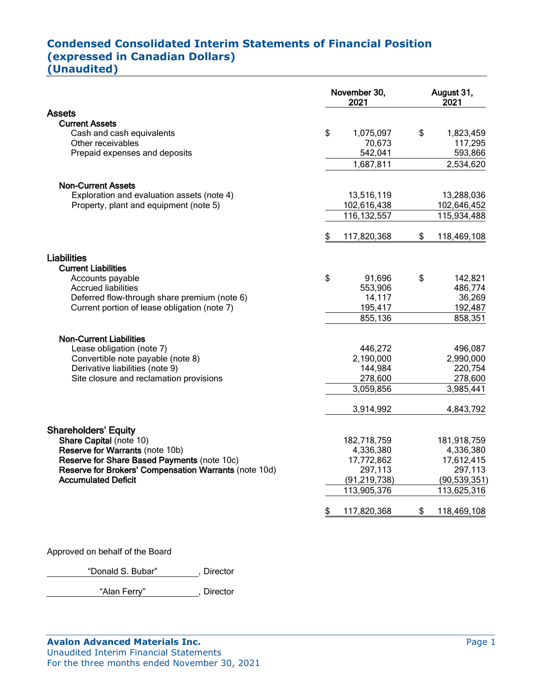# **Condensed Consolidated Interim Statements of Financial Position (expressed in Canadian Dollars)**

**(Unaudited)**

|                                                       | November 30,<br>2021 |                | August 31,<br>2021 |
|-------------------------------------------------------|----------------------|----------------|--------------------|
| <b>Assets</b>                                         |                      |                |                    |
| <b>Current Assets</b>                                 |                      |                |                    |
| Cash and cash equivalents                             | \$                   | 1,075,097      | \$<br>1,823,459    |
| Other receivables                                     |                      | 70,673         | 117,295            |
| Prepaid expenses and deposits                         |                      | 542,041        | 593,866            |
|                                                       |                      | 1,687,811      | 2,534,620          |
| <b>Non-Current Assets</b>                             |                      |                |                    |
| Exploration and evaluation assets (note 4)            |                      | 13,516,119     | 13,288,036         |
| Property, plant and equipment (note 5)                |                      | 102,616,438    | 102,646,452        |
|                                                       |                      | 116, 132, 557  | 115,934,488        |
|                                                       | \$                   | 117,820,368    | \$<br>118,469,108  |
| Liabilities                                           |                      |                |                    |
| <b>Current Liabilities</b>                            |                      |                |                    |
| Accounts payable                                      | \$                   | 91,696         | \$<br>142,821      |
| <b>Accrued liabilities</b>                            |                      | 553,906        | 486,774            |
| Deferred flow-through share premium (note 6)          |                      | 14,117         | 36,269             |
| Current portion of lease obligation (note 7)          |                      | 195,417        | 192,487            |
|                                                       |                      | 855,136        | 858,351            |
| <b>Non-Current Liabilities</b>                        |                      |                |                    |
| Lease obligation (note 7)                             |                      | 446,272        | 496,087            |
| Convertible note payable (note 8)                     |                      | 2,190,000      | 2,990,000          |
| Derivative liabilities (note 9)                       |                      | 144,984        | 220,754            |
| Site closure and reclamation provisions               |                      | 278,600        | 278,600            |
|                                                       |                      | 3,059,856      | 3,985,441          |
|                                                       |                      | 3,914,992      | 4,843,792          |
| <b>Shareholders' Equity</b>                           |                      |                |                    |
| Share Capital (note 10)                               |                      | 182,718,759    | 181,918,759        |
| Reserve for Warrants (note 10b)                       |                      | 4,336,380      | 4,336,380          |
| Reserve for Share Based Payments (note 10c)           |                      | 17,772,862     | 17,612,415         |
| Reserve for Brokers' Compensation Warrants (note 10d) |                      | 297,113        | 297,113            |
| <b>Accumulated Deficit</b>                            |                      | (91, 219, 738) | (90, 539, 351)     |
|                                                       |                      | 113,905,376    | 113,625,316        |
|                                                       |                      | 117,820,368    | \$<br>118,469,108  |

Approved on behalf of the Board

"Donald S. Bubar", Director

"Alan Ferry" , Director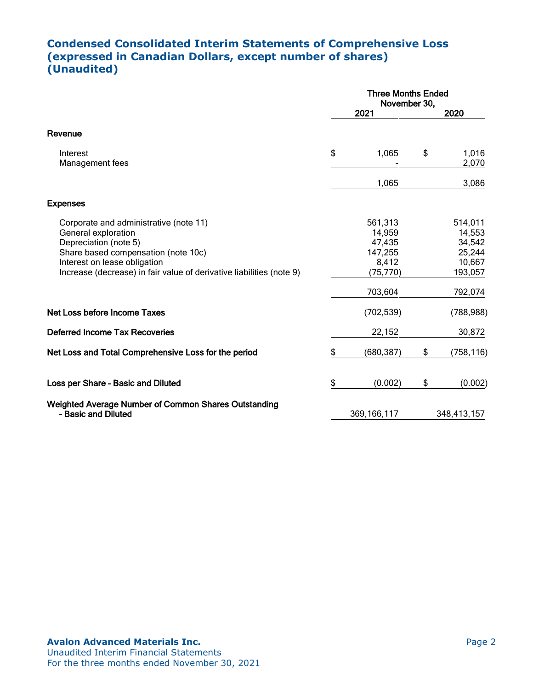# **Condensed Consolidated Interim Statements of Comprehensive Loss (expressed in Canadian Dollars, except number of shares) (Unaudited)**

|                                                                                                                                                                                                                                       | <b>Three Months Ended</b><br>November 30,                    |    |                                                            |  |
|---------------------------------------------------------------------------------------------------------------------------------------------------------------------------------------------------------------------------------------|--------------------------------------------------------------|----|------------------------------------------------------------|--|
|                                                                                                                                                                                                                                       | 2021                                                         |    | 2020                                                       |  |
| Revenue                                                                                                                                                                                                                               |                                                              |    |                                                            |  |
| Interest<br>Management fees                                                                                                                                                                                                           | \$<br>1,065                                                  | \$ | 1,016<br>2,070                                             |  |
|                                                                                                                                                                                                                                       | 1,065                                                        |    | 3,086                                                      |  |
| <b>Expenses</b>                                                                                                                                                                                                                       |                                                              |    |                                                            |  |
| Corporate and administrative (note 11)<br>General exploration<br>Depreciation (note 5)<br>Share based compensation (note 10c)<br>Interest on lease obligation<br>Increase (decrease) in fair value of derivative liabilities (note 9) | 561,313<br>14,959<br>47,435<br>147,255<br>8,412<br>(75, 770) |    | 514,011<br>14,553<br>34,542<br>25,244<br>10,667<br>193,057 |  |
|                                                                                                                                                                                                                                       | 703,604                                                      |    | 792,074                                                    |  |
| Net Loss before Income Taxes                                                                                                                                                                                                          | (702, 539)                                                   |    | (788, 988)                                                 |  |
| <b>Deferred Income Tax Recoveries</b>                                                                                                                                                                                                 | 22,152                                                       |    | 30,872                                                     |  |
| Net Loss and Total Comprehensive Loss for the period                                                                                                                                                                                  | \$<br>(680,387)                                              | \$ | (758,116)                                                  |  |
| Loss per Share - Basic and Diluted                                                                                                                                                                                                    | \$<br>(0.002)                                                | \$ | (0.002)                                                    |  |
| <b>Weighted Average Number of Common Shares Outstanding</b><br>- Basic and Diluted                                                                                                                                                    | 369, 166, 117                                                |    | 348,413,157                                                |  |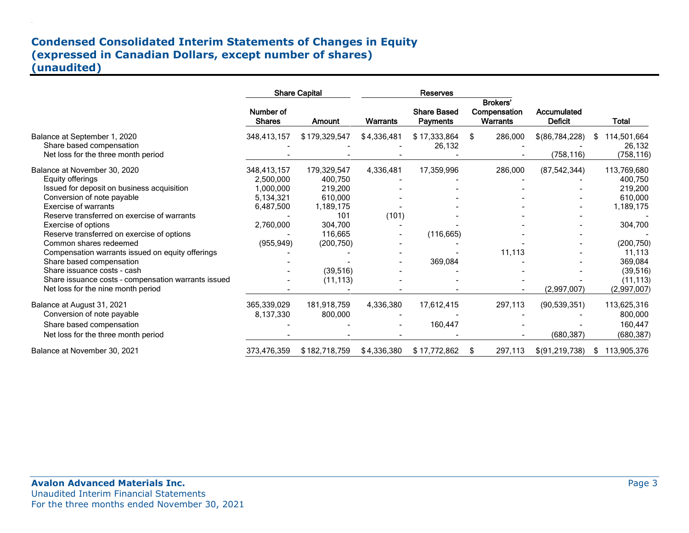# **Condensed Consolidated Interim Statements of Changes in Equity (expressed in Canadian Dollars, except number of shares) (unaudited)**

|                                                                                                                                                                                                                                                                                                                                                                                                                   |                                                                                            | <b>Share Capital</b>                                                                                              |                    | Reserves                              |                                                    |                               |                                                                                                                      |
|-------------------------------------------------------------------------------------------------------------------------------------------------------------------------------------------------------------------------------------------------------------------------------------------------------------------------------------------------------------------------------------------------------------------|--------------------------------------------------------------------------------------------|-------------------------------------------------------------------------------------------------------------------|--------------------|---------------------------------------|----------------------------------------------------|-------------------------------|----------------------------------------------------------------------------------------------------------------------|
|                                                                                                                                                                                                                                                                                                                                                                                                                   | Number of<br><b>Shares</b>                                                                 | Amount                                                                                                            | Warrants           | <b>Share Based</b><br><b>Payments</b> | <b>Brokers'</b><br>Compensation<br><b>Warrants</b> | Accumulated<br><b>Deficit</b> | <b>Total</b>                                                                                                         |
| Balance at September 1, 2020<br>Share based compensation<br>Net loss for the three month period                                                                                                                                                                                                                                                                                                                   | 348,413,157                                                                                | \$179,329,547                                                                                                     | \$4,336,481        | \$17,333,864<br>26,132                | \$<br>286,000                                      | \$(86,784,228)<br>(758, 116)  | 114,501,664<br>S<br>26,132<br>(758, 116)                                                                             |
| Balance at November 30, 2020<br>Equity offerings<br>Issued for deposit on business acquisition<br>Conversion of note payable<br>Exercise of warrants<br>Reserve transferred on exercise of warrants<br>Exercise of options<br>Reserve transferred on exercise of options<br>Common shares redeemed<br>Compensation warrants issued on equity offerings<br>Share based compensation<br>Share issuance costs - cash | 348,413,157<br>2,500,000<br>1,000,000<br>5,134,321<br>6,487,500<br>2,760,000<br>(955, 949) | 179,329,547<br>400,750<br>219,200<br>610,000<br>1,189,175<br>101<br>304,700<br>116,665<br>(200, 750)<br>(39, 516) | 4,336,481<br>(101) | 17,359,996<br>(116, 665)<br>369,084   | 286,000<br>11,113                                  | (87, 542, 344)                | 113,769,680<br>400,750<br>219,200<br>610,000<br>1,189,175<br>304,700<br>(200, 750)<br>11,113<br>369,084<br>(39, 516) |
| Share issuance costs - compensation warrants issued<br>Net loss for the nine month period                                                                                                                                                                                                                                                                                                                         |                                                                                            | (11, 113)                                                                                                         |                    |                                       |                                                    | (2,997,007)                   | (11, 113)<br>(2,997,007)                                                                                             |
| Balance at August 31, 2021<br>Conversion of note payable<br>Share based compensation<br>Net loss for the three month period                                                                                                                                                                                                                                                                                       | 365,339,029<br>8,137,330                                                                   | 181,918,759<br>800,000                                                                                            | 4,336,380          | 17,612,415<br>160,447                 | 297,113                                            | (90, 539, 351)<br>(680, 387)  | 113,625,316<br>800,000<br>160,447<br>(680, 387)                                                                      |
| Balance at November 30, 2021                                                                                                                                                                                                                                                                                                                                                                                      | 373,476,359                                                                                | \$182,718,759                                                                                                     | \$4,336,380        | \$17,772,862                          | 297,113<br>S                                       | \$(91,219,738)                | 113,905,376<br>SS.                                                                                                   |

.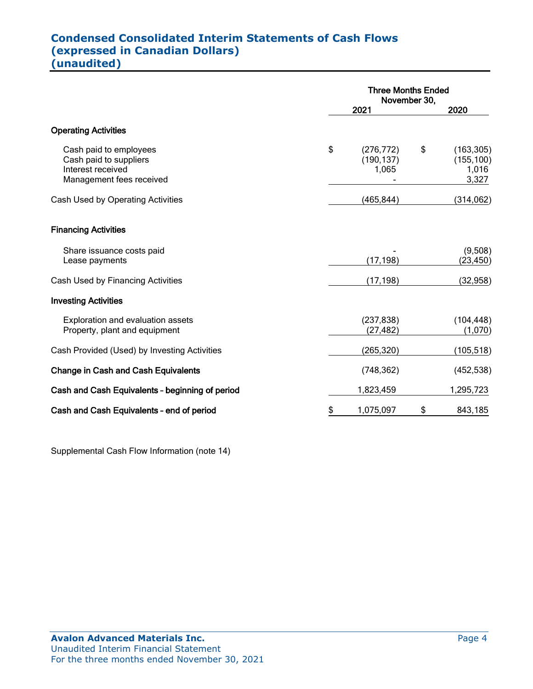# **Condensed Consolidated Interim Statements of Cash Flows (expressed in Canadian Dollars) (unaudited)**

|                                                                                                   | <b>Three Months Ended</b><br>November 30, |    |                                            |  |
|---------------------------------------------------------------------------------------------------|-------------------------------------------|----|--------------------------------------------|--|
|                                                                                                   | 2021                                      |    | 2020                                       |  |
| <b>Operating Activities</b>                                                                       |                                           |    |                                            |  |
| Cash paid to employees<br>Cash paid to suppliers<br>Interest received<br>Management fees received | \$<br>(276, 772)<br>(190, 137)<br>1,065   | \$ | (163, 305)<br>(155, 100)<br>1,016<br>3,327 |  |
| Cash Used by Operating Activities                                                                 | (465, 844)                                |    | (314,062)                                  |  |
| <b>Financing Activities</b>                                                                       |                                           |    |                                            |  |
| Share issuance costs paid<br>Lease payments                                                       | (17, 198)                                 |    | (9,508)<br>(23, 450)                       |  |
| Cash Used by Financing Activities                                                                 | (17, 198)                                 |    | (32, 958)                                  |  |
| <b>Investing Activities</b>                                                                       |                                           |    |                                            |  |
| Exploration and evaluation assets<br>Property, plant and equipment                                | (237, 838)<br>(27, 482)                   |    | (104, 448)<br>(1,070)                      |  |
| Cash Provided (Used) by Investing Activities                                                      | (265, 320)                                |    | (105, 518)                                 |  |
| <b>Change in Cash and Cash Equivalents</b>                                                        | (748, 362)                                |    | (452, 538)                                 |  |
| Cash and Cash Equivalents - beginning of period                                                   | 1,823,459                                 |    | 1,295,723                                  |  |
| Cash and Cash Equivalents - end of period                                                         | \$<br>1,075,097                           | \$ | 843,185                                    |  |

Supplemental Cash Flow Information (note 14)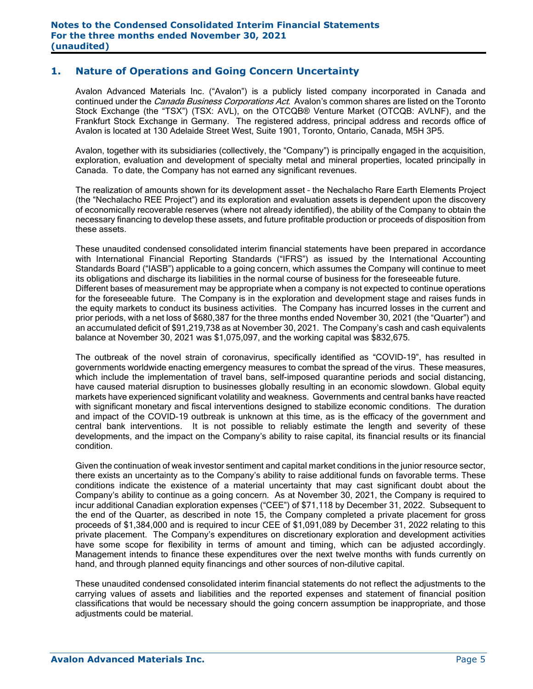### **1. Nature of Operations and Going Concern Uncertainty**

Avalon Advanced Materials Inc. ("Avalon") is a publicly listed company incorporated in Canada and continued under the *Canada Business Corporations Act*. Avalon's common shares are listed on the Toronto Stock Exchange (the "TSX") (TSX: AVL), on the OTCQB® Venture Market (OTCQB: AVLNF), and the Frankfurt Stock Exchange in Germany. The registered address, principal address and records office of Avalon is located at 130 Adelaide Street West, Suite 1901, Toronto, Ontario, Canada, M5H 3P5.

Avalon, together with its subsidiaries (collectively, the "Company") is principally engaged in the acquisition, exploration, evaluation and development of specialty metal and mineral properties, located principally in Canada. To date, the Company has not earned any significant revenues.

The realization of amounts shown for its development asset – the Nechalacho Rare Earth Elements Project (the "Nechalacho REE Project") and its exploration and evaluation assets is dependent upon the discovery of economically recoverable reserves (where not already identified), the ability of the Company to obtain the necessary financing to develop these assets, and future profitable production or proceeds of disposition from these assets.

These unaudited condensed consolidated interim financial statements have been prepared in accordance with International Financial Reporting Standards ("IFRS") as issued by the International Accounting Standards Board ("IASB") applicable to a going concern, which assumes the Company will continue to meet its obligations and discharge its liabilities in the normal course of business for the foreseeable future. Different bases of measurement may be appropriate when a company is not expected to continue operations for the foreseeable future. The Company is in the exploration and development stage and raises funds in the equity markets to conduct its business activities. The Company has incurred losses in the current and prior periods, with a net loss of \$680,387 for the three months ended November 30, 2021 (the "Quarter") and an accumulated deficit of \$91,219,738 as at November 30, 2021. The Company's cash and cash equivalents balance at November 30, 2021 was \$1,075,097, and the working capital was \$832,675.

The outbreak of the novel strain of coronavirus, specifically identified as "COVID-19", has resulted in governments worldwide enacting emergency measures to combat the spread of the virus. These measures, which include the implementation of travel bans, self-imposed quarantine periods and social distancing, have caused material disruption to businesses globally resulting in an economic slowdown. Global equity markets have experienced significant volatility and weakness. Governments and central banks have reacted with significant monetary and fiscal interventions designed to stabilize economic conditions. The duration and impact of the COVID-19 outbreak is unknown at this time, as is the efficacy of the government and central bank interventions. It is not possible to reliably estimate the length and severity of these developments, and the impact on the Company's ability to raise capital, its financial results or its financial condition.

Given the continuation of weak investor sentiment and capital market conditions in the junior resource sector, there exists an uncertainty as to the Company's ability to raise additional funds on favorable terms. These conditions indicate the existence of a material uncertainty that may cast significant doubt about the Company's ability to continue as a going concern. As at November 30, 2021, the Company is required to incur additional Canadian exploration expenses ("CEE") of \$71,118 by December 31, 2022. Subsequent to the end of the Quarter, as described in note 15, the Company completed a private placement for gross proceeds of \$1,384,000 and is required to incur CEE of \$1,091,089 by December 31, 2022 relating to this private placement. The Company's expenditures on discretionary exploration and development activities have some scope for flexibility in terms of amount and timing, which can be adjusted accordingly. Management intends to finance these expenditures over the next twelve months with funds currently on hand, and through planned equity financings and other sources of non-dilutive capital.

These unaudited condensed consolidated interim financial statements do not reflect the adjustments to the carrying values of assets and liabilities and the reported expenses and statement of financial position classifications that would be necessary should the going concern assumption be inappropriate, and those adjustments could be material.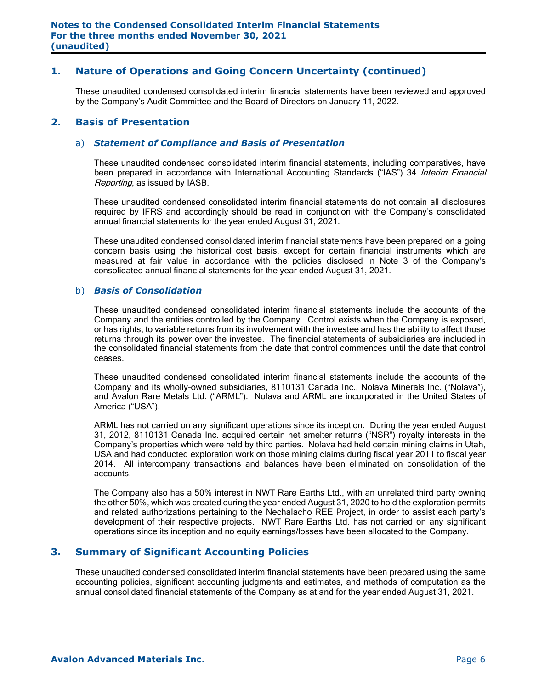### **1. Nature of Operations and Going Concern Uncertainty (continued)**

These unaudited condensed consolidated interim financial statements have been reviewed and approved by the Company's Audit Committee and the Board of Directors on January 11, 2022.

#### **2. Basis of Presentation**

#### a) *Statement of Compliance and Basis of Presentation*

These unaudited condensed consolidated interim financial statements, including comparatives, have been prepared in accordance with International Accounting Standards ("IAS") 34 Interim Financial Reporting, as issued by IASB.

These unaudited condensed consolidated interim financial statements do not contain all disclosures required by IFRS and accordingly should be read in conjunction with the Company's consolidated annual financial statements for the year ended August 31, 2021.

These unaudited condensed consolidated interim financial statements have been prepared on a going concern basis using the historical cost basis, except for certain financial instruments which are measured at fair value in accordance with the policies disclosed in Note 3 of the Company's consolidated annual financial statements for the year ended August 31, 2021.

#### b) *Basis of Consolidation*

These unaudited condensed consolidated interim financial statements include the accounts of the Company and the entities controlled by the Company. Control exists when the Company is exposed, or has rights, to variable returns from its involvement with the investee and has the ability to affect those returns through its power over the investee. The financial statements of subsidiaries are included in the consolidated financial statements from the date that control commences until the date that control ceases.

These unaudited condensed consolidated interim financial statements include the accounts of the Company and its wholly-owned subsidiaries, 8110131 Canada Inc., Nolava Minerals Inc. ("Nolava"), and Avalon Rare Metals Ltd. ("ARML"). Nolava and ARML are incorporated in the United States of America ("USA").

ARML has not carried on any significant operations since its inception. During the year ended August 31, 2012, 8110131 Canada Inc. acquired certain net smelter returns ("NSR") royalty interests in the Company's properties which were held by third parties. Nolava had held certain mining claims in Utah, USA and had conducted exploration work on those mining claims during fiscal year 2011 to fiscal year 2014. All intercompany transactions and balances have been eliminated on consolidation of the accounts.

The Company also has a 50% interest in NWT Rare Earths Ltd., with an unrelated third party owning the other 50%, which was created during the year ended August 31, 2020 to hold the exploration permits and related authorizations pertaining to the Nechalacho REE Project, in order to assist each party's development of their respective projects. NWT Rare Earths Ltd. has not carried on any significant operations since its inception and no equity earnings/losses have been allocated to the Company.

### **3. Summary of Significant Accounting Policies**

These unaudited condensed consolidated interim financial statements have been prepared using the same accounting policies, significant accounting judgments and estimates, and methods of computation as the annual consolidated financial statements of the Company as at and for the year ended August 31, 2021.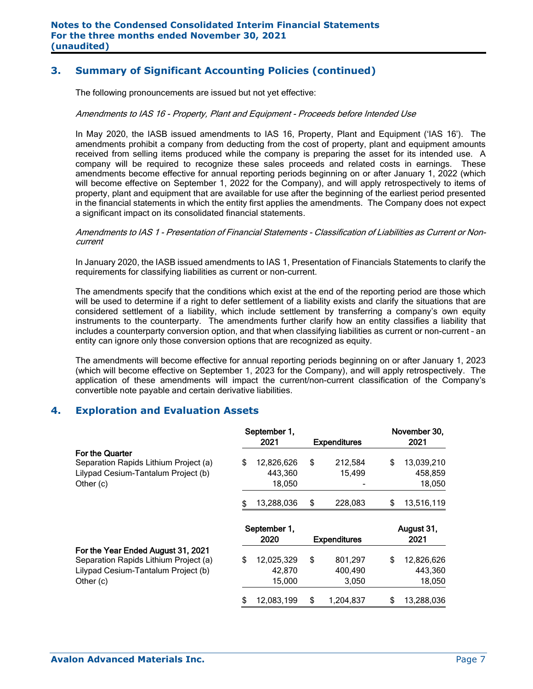# **3. Summary of Significant Accounting Policies (continued)**

The following pronouncements are issued but not yet effective:

#### Amendments to IAS 16 - Property, Plant and Equipment - Proceeds before Intended Use

In May 2020, the IASB issued amendments to IAS 16, Property, Plant and Equipment ('IAS 16'). The amendments prohibit a company from deducting from the cost of property, plant and equipment amounts received from selling items produced while the company is preparing the asset for its intended use. A company will be required to recognize these sales proceeds and related costs in earnings. These amendments become effective for annual reporting periods beginning on or after January 1, 2022 (which will become effective on September 1, 2022 for the Company), and will apply retrospectively to items of property, plant and equipment that are available for use after the beginning of the earliest period presented in the financial statements in which the entity first applies the amendments. The Company does not expect a significant impact on its consolidated financial statements.

#### Amendments to IAS 1 - Presentation of Financial Statements - Classification of Liabilities as Current or Noncurrent

In January 2020, the IASB issued amendments to IAS 1, Presentation of Financials Statements to clarify the requirements for classifying liabilities as current or non-current.

The amendments specify that the conditions which exist at the end of the reporting period are those which will be used to determine if a right to defer settlement of a liability exists and clarify the situations that are considered settlement of a liability, which include settlement by transferring a company's own equity instruments to the counterparty. The amendments further clarify how an entity classifies a liability that includes a counterparty conversion option, and that when classifying liabilities as current or non-current – an entity can ignore only those conversion options that are recognized as equity.

The amendments will become effective for annual reporting periods beginning on or after January 1, 2023 (which will become effective on September 1, 2023 for the Company), and will apply retrospectively. The application of these amendments will impact the current/non-current classification of the Company's convertible note payable and certain derivative liabilities.

### **4. Exploration and Evaluation Assets**

|                                                                                                              |    | September 1,<br>2021            | <b>Expenditures</b>               | November 30,<br>2021                  |
|--------------------------------------------------------------------------------------------------------------|----|---------------------------------|-----------------------------------|---------------------------------------|
| For the Quarter<br>Separation Rapids Lithium Project (a)<br>Lilypad Cesium-Tantalum Project (b)<br>Other (c) |    | 12,826,626<br>443,360<br>18,050 | \$<br>212,584<br>15,499           | \$<br>13,039,210<br>458,859<br>18,050 |
|                                                                                                              | \$ | 13,288,036                      | \$<br>228,083                     | \$<br>13,516,119                      |
|                                                                                                              |    | September 1,<br>2020            | <b>Expenditures</b>               | August 31,<br>2021                    |
| For the Year Ended August 31, 2021                                                                           |    |                                 |                                   |                                       |
| Separation Rapids Lithium Project (a)<br>Lilypad Cesium-Tantalum Project (b)<br>Other (c)                    | \$ | 12,025,329<br>42,870<br>15,000  | \$<br>801,297<br>400,490<br>3,050 | \$<br>12,826,626<br>443,360<br>18,050 |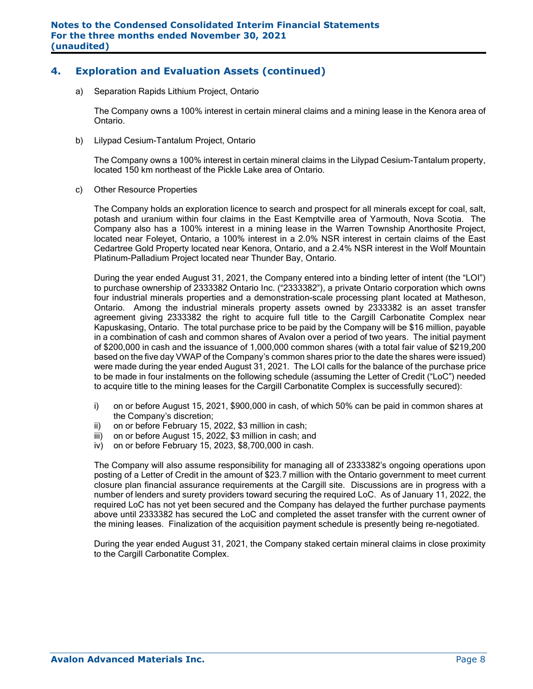## **4. Exploration and Evaluation Assets (continued)**

a) Separation Rapids Lithium Project, Ontario

The Company owns a 100% interest in certain mineral claims and a mining lease in the Kenora area of Ontario.

b) Lilypad Cesium-Tantalum Project, Ontario

The Company owns a 100% interest in certain mineral claims in the Lilypad Cesium-Tantalum property, located 150 km northeast of the Pickle Lake area of Ontario.

c) Other Resource Properties

The Company holds an exploration licence to search and prospect for all minerals except for coal, salt, potash and uranium within four claims in the East Kemptville area of Yarmouth, Nova Scotia. The Company also has a 100% interest in a mining lease in the Warren Township Anorthosite Project, located near Foleyet, Ontario, a 100% interest in a 2.0% NSR interest in certain claims of the East Cedartree Gold Property located near Kenora, Ontario, and a 2.4% NSR interest in the Wolf Mountain Platinum-Palladium Project located near Thunder Bay, Ontario.

During the year ended August 31, 2021, the Company entered into a binding letter of intent (the "LOI") to purchase ownership of 2333382 Ontario Inc. ("2333382"), a private Ontario corporation which owns four industrial minerals properties and a demonstration-scale processing plant located at Matheson, Ontario. Among the industrial minerals property assets owned by 2333382 is an asset transfer agreement giving 2333382 the right to acquire full title to the Cargill Carbonatite Complex near Kapuskasing, Ontario. The total purchase price to be paid by the Company will be \$16 million, payable in a combination of cash and common shares of Avalon over a period of two years. The initial payment of \$200,000 in cash and the issuance of 1,000,000 common shares (with a total fair value of \$219,200 based on the five day VWAP of the Company's common shares prior to the date the shares were issued) were made during the year ended August 31, 2021. The LOI calls for the balance of the purchase price to be made in four instalments on the following schedule (assuming the Letter of Credit ("LoC") needed to acquire title to the mining leases for the Cargill Carbonatite Complex is successfully secured):

- i) on or before August 15, 2021, \$900,000 in cash, of which 50% can be paid in common shares at the Company's discretion;
- ii) on or before February 15, 2022, \$3 million in cash;
- iii) on or before August 15, 2022, \$3 million in cash; and
- iv) on or before February 15, 2023, \$8,700,000 in cash.

The Company will also assume responsibility for managing all of 2333382's ongoing operations upon posting of a Letter of Credit in the amount of \$23.7 million with the Ontario government to meet current closure plan financial assurance requirements at the Cargill site. Discussions are in progress with a number of lenders and surety providers toward securing the required LoC. As of January 11, 2022, the required LoC has not yet been secured and the Company has delayed the further purchase payments above until 2333382 has secured the LoC and completed the asset transfer with the current owner of the mining leases. Finalization of the acquisition payment schedule is presently being re-negotiated.

During the year ended August 31, 2021, the Company staked certain mineral claims in close proximity to the Cargill Carbonatite Complex.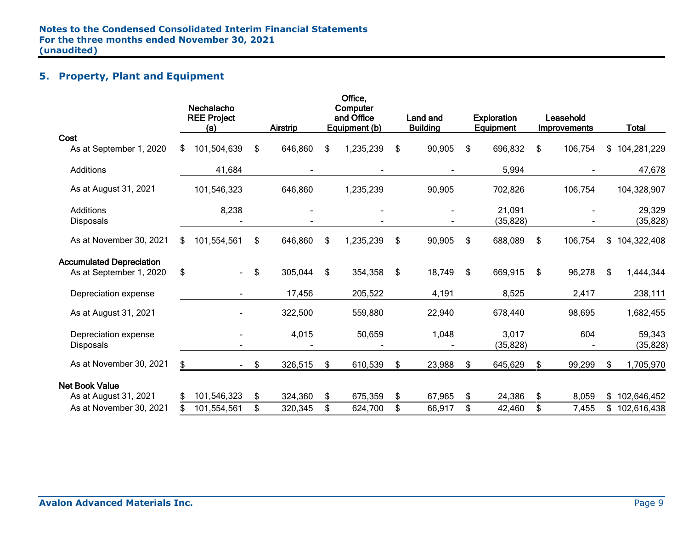# **5. Property, Plant and Equipment**

|                                                            | Nechalacho<br><b>REE Project</b><br>(a) | <b>Airstrip</b> | Office,<br>Computer<br>and Office<br>Equipment (b) | <b>Land and</b><br><b>Building</b> | <b>Exploration</b><br>Equipment | Leasehold<br>Improvements | <b>Total</b>        |
|------------------------------------------------------------|-----------------------------------------|-----------------|----------------------------------------------------|------------------------------------|---------------------------------|---------------------------|---------------------|
| Cost<br>As at September 1, 2020                            | \$<br>101,504,639                       | \$<br>646,860   | \$<br>1,235,239                                    | \$<br>90,905                       | \$<br>696,832                   | \$<br>106,754             | \$104,281,229       |
| Additions                                                  | 41,684                                  |                 |                                                    |                                    | 5,994                           |                           | 47,678              |
| As at August 31, 2021                                      | 101,546,323                             | 646,860         | 1,235,239                                          | 90,905                             | 702,826                         | 106,754                   | 104,328,907         |
| Additions<br><b>Disposals</b>                              | 8,238                                   |                 |                                                    |                                    | 21,091<br>(35, 828)             |                           | 29,329<br>(35, 828) |
| As at November 30, 2021                                    | \$<br>101,554,561                       | \$<br>646,860   | \$<br>1,235,239                                    | \$<br>90,905                       | \$<br>688,089                   | \$<br>106,754             | \$104,322,408       |
| <b>Accumulated Depreciation</b><br>As at September 1, 2020 | \$                                      | \$<br>305,044   | \$<br>354,358                                      | \$<br>18,749                       | \$<br>669,915                   | \$<br>96,278              | \$<br>1,444,344     |
| Depreciation expense                                       |                                         | 17,456          | 205,522                                            | 4,191                              | 8,525                           | 2,417                     | 238,111             |
| As at August 31, 2021                                      |                                         | 322,500         | 559,880                                            | 22,940                             | 678,440                         | 98,695                    | 1,682,455           |
| Depreciation expense<br><b>Disposals</b>                   |                                         | 4,015           | 50,659                                             | 1,048                              | 3,017<br>(35, 828)              | 604                       | 59,343<br>(35, 828) |
| As at November 30, 2021                                    | \$                                      | \$<br>326,515   | \$<br>610,539                                      | \$<br>23,988                       | \$<br>645,629                   | \$<br>99,299              | \$<br>1,705,970     |
| <b>Net Book Value</b><br>As at August 31, 2021             | \$<br>101,546,323                       | \$<br>324,360   | \$<br>675,359                                      | \$<br>67,965                       | \$<br>24,386                    | \$<br>8,059               | \$102,646,452       |
| As at November 30, 2021                                    | 101,554,561                             | \$<br>320,345   | \$<br>624,700                                      | \$<br>66,917                       | \$<br>42,460                    | \$<br>7,455               | \$<br>102,616,438   |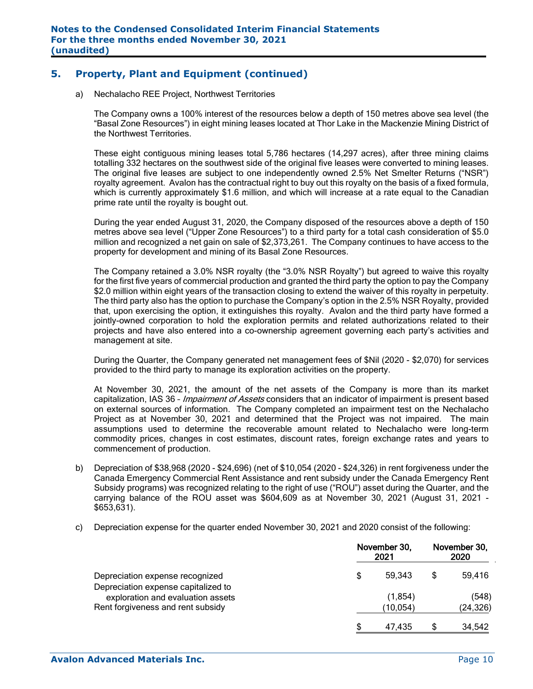# **5. Property, Plant and Equipment (continued)**

a) Nechalacho REE Project, Northwest Territories

The Company owns a 100% interest of the resources below a depth of 150 metres above sea level (the "Basal Zone Resources") in eight mining leases located at Thor Lake in the Mackenzie Mining District of the Northwest Territories.

These eight contiguous mining leases total 5,786 hectares (14,297 acres), after three mining claims totalling 332 hectares on the southwest side of the original five leases were converted to mining leases. The original five leases are subject to one independently owned 2.5% Net Smelter Returns ("NSR") royalty agreement. Avalon has the contractual right to buy out this royalty on the basis of a fixed formula, which is currently approximately \$1.6 million, and which will increase at a rate equal to the Canadian prime rate until the royalty is bought out.

During the year ended August 31, 2020, the Company disposed of the resources above a depth of 150 metres above sea level ("Upper Zone Resources") to a third party for a total cash consideration of \$5.0 million and recognized a net gain on sale of \$2,373,261. The Company continues to have access to the property for development and mining of its Basal Zone Resources.

The Company retained a 3.0% NSR royalty (the "3.0% NSR Royalty") but agreed to waive this royalty for the first five years of commercial production and granted the third party the option to pay the Company \$2.0 million within eight years of the transaction closing to extend the waiver of this royalty in perpetuity. The third party also has the option to purchase the Company's option in the 2.5% NSR Royalty, provided that, upon exercising the option, it extinguishes this royalty. Avalon and the third party have formed a jointly-owned corporation to hold the exploration permits and related authorizations related to their projects and have also entered into a co-ownership agreement governing each party's activities and management at site.

During the Quarter, the Company generated net management fees of \$Nil (2020 - \$2,070) for services provided to the third party to manage its exploration activities on the property.

At November 30, 2021, the amount of the net assets of the Company is more than its market capitalization, IAS 36 - *Impairment of Assets* considers that an indicator of impairment is present based on external sources of information. The Company completed an impairment test on the Nechalacho Project as at November 30, 2021 and determined that the Project was not impaired. The main assumptions used to determine the recoverable amount related to Nechalacho were long-term commodity prices, changes in cost estimates, discount rates, foreign exchange rates and years to commencement of production.

- b) Depreciation of \$38,968 (2020 \$24,696) (net of \$10,054 (2020 \$24,326) in rent forgiveness under the Canada Emergency Commercial Rent Assistance and rent subsidy under the Canada Emergency Rent Subsidy programs) was recognized relating to the right of use ("ROU") asset during the Quarter, and the carrying balance of the ROU asset was \$604,609 as at November 30, 2021 (August 31, 2021 - \$653,631).
- c) Depreciation expense for the quarter ended November 30, 2021 and 2020 consist of the following:

|                                                                                                               | November 30, | November 30,<br>2020  |    |                    |  |
|---------------------------------------------------------------------------------------------------------------|--------------|-----------------------|----|--------------------|--|
| Depreciation expense recognized                                                                               | S            | 59.343                | \$ | 59.416             |  |
| Depreciation expense capitalized to<br>exploration and evaluation assets<br>Rent forgiveness and rent subsidy |              | (1, 854)<br>(10, 054) |    | (548)<br>(24, 326) |  |
|                                                                                                               |              | 47.435                | S  | 34,542             |  |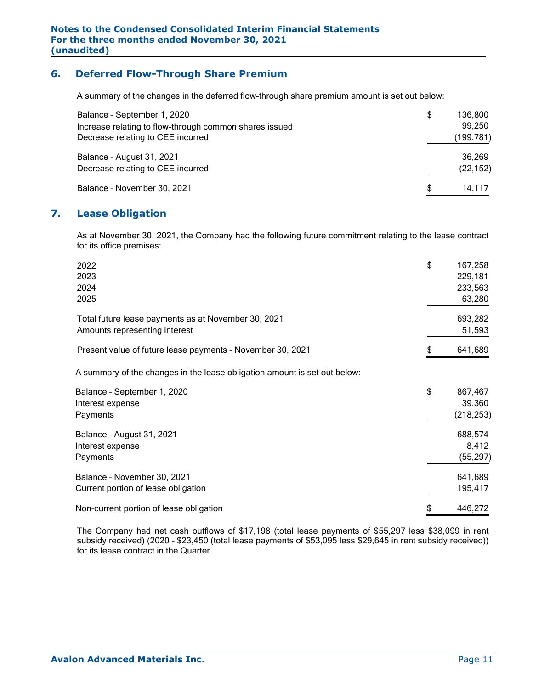### **6. Deferred Flow-Through Share Premium**

A summary of the changes in the deferred flow-through share premium amount is set out below:

| Balance - September 1, 2020<br>Increase relating to flow-through common shares issued<br>Decrease relating to CEE incurred | \$<br>136.800<br>99,250<br>(199,781) |
|----------------------------------------------------------------------------------------------------------------------------|--------------------------------------|
| Balance - August 31, 2021<br>Decrease relating to CEE incurred                                                             | 36,269<br>(22, 152)                  |
| Balance - November 30, 2021                                                                                                | \$<br>14,117                         |

### **7. Lease Obligation**

As at November 30, 2021, the Company had the following future commitment relating to the lease contract for its office premises:

| 2022<br>2023<br>2024<br>2025                                                         | \$<br>167,258<br>229,181<br>233,563<br>63,280 |
|--------------------------------------------------------------------------------------|-----------------------------------------------|
| Total future lease payments as at November 30, 2021<br>Amounts representing interest | 693,282<br>51,593                             |
| Present value of future lease payments - November 30, 2021                           | \$<br>641,689                                 |
| A summary of the changes in the lease obligation amount is set out below:            |                                               |
| Balance - September 1, 2020<br>Interest expense<br>Payments                          | \$<br>867,467<br>39,360<br>(218, 253)         |
| Balance - August 31, 2021<br>Interest expense<br>Payments                            | 688,574<br>8,412<br>(55, 297)                 |
| Balance - November 30, 2021<br>Current portion of lease obligation                   | 641,689<br>195,417                            |
| Non-current portion of lease obligation                                              | \$<br>446,272                                 |

The Company had net cash outflows of \$17,198 (total lease payments of \$55,297 less \$38,099 in rent subsidy received) (2020 – \$23,450 (total lease payments of \$53,095 less \$29,645 in rent subsidy received)) for its lease contract in the Quarter.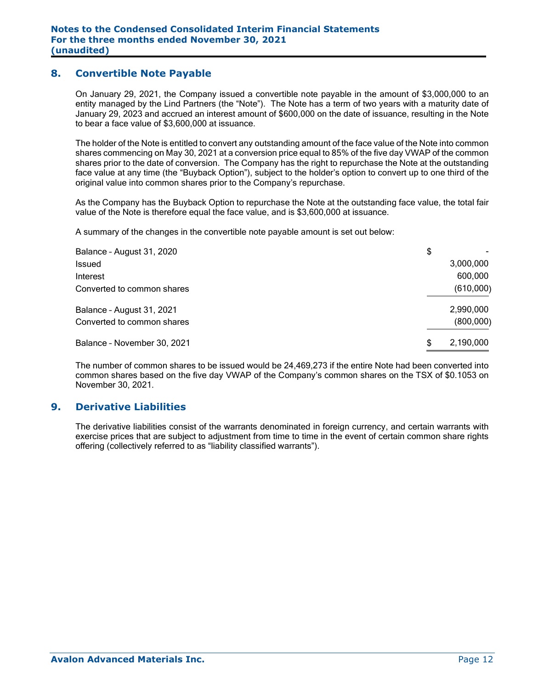### **8. Convertible Note Payable**

On January 29, 2021, the Company issued a convertible note payable in the amount of \$3,000,000 to an entity managed by the Lind Partners (the "Note"). The Note has a term of two years with a maturity date of January 29, 2023 and accrued an interest amount of \$600,000 on the date of issuance, resulting in the Note to bear a face value of \$3,600,000 at issuance.

The holder of the Note is entitled to convert any outstanding amount of the face value of the Note into common shares commencing on May 30, 2021 at a conversion price equal to 85% of the five day VWAP of the common shares prior to the date of conversion. The Company has the right to repurchase the Note at the outstanding face value at any time (the "Buyback Option"), subject to the holder's option to convert up to one third of the original value into common shares prior to the Company's repurchase.

As the Company has the Buyback Option to repurchase the Note at the outstanding face value, the total fair value of the Note is therefore equal the face value, and is \$3,600,000 at issuance.

A summary of the changes in the convertible note payable amount is set out below:

| Balance - August 31, 2020   | \$             |
|-----------------------------|----------------|
| <b>Issued</b>               | 3,000,000      |
| Interest                    | 600,000        |
| Converted to common shares  | (610,000)      |
| Balance - August 31, 2021   | 2,990,000      |
| Converted to common shares  | (800,000)      |
| Balance - November 30, 2021 | 2,190,000<br>S |

The number of common shares to be issued would be 24,469,273 if the entire Note had been converted into common shares based on the five day VWAP of the Company's common shares on the TSX of \$0.1053 on November 30, 2021.

### **9. Derivative Liabilities**

The derivative liabilities consist of the warrants denominated in foreign currency, and certain warrants with exercise prices that are subject to adjustment from time to time in the event of certain common share rights offering (collectively referred to as "liability classified warrants").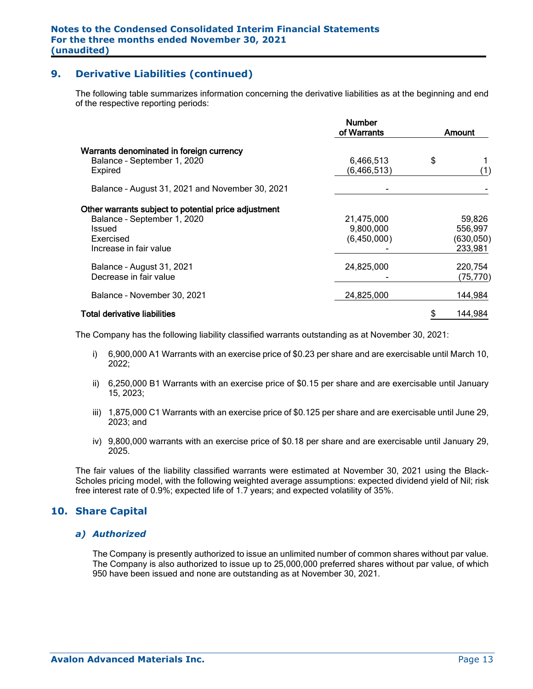# **9. Derivative Liabilities (continued)**

The following table summarizes information concerning the derivative liabilities as at the beginning and end of the respective reporting periods:

|                                                      | <b>Number</b><br>of Warrants | Amount        |
|------------------------------------------------------|------------------------------|---------------|
| Warrants denominated in foreign currency             |                              |               |
| Balance - September 1, 2020                          | 6,466,513                    | \$            |
| Expired                                              | (6, 466, 513)                | (1)           |
| Balance - August 31, 2021 and November 30, 2021      |                              |               |
| Other warrants subject to potential price adjustment |                              |               |
| Balance - September 1, 2020                          | 21,475,000                   | 59,826        |
| Issued                                               | 9,800,000                    | 556,997       |
| Exercised                                            | (6,450,000)                  | (630, 050)    |
| Increase in fair value                               |                              | 233,981       |
| Balance - August 31, 2021                            | 24,825,000                   | 220,754       |
| Decrease in fair value                               |                              | (75, 770)     |
| Balance - November 30, 2021                          | 24,825,000                   | 144,984       |
| Total derivative liabilities                         |                              | \$<br>144,984 |

The Company has the following liability classified warrants outstanding as at November 30, 2021:

- i) 6,900,000 A1 Warrants with an exercise price of \$0.23 per share and are exercisable until March 10, 2022;
- ii) 6,250,000 B1 Warrants with an exercise price of \$0.15 per share and are exercisable until January 15, 2023;
- iii) 1,875,000 C1 Warrants with an exercise price of \$0.125 per share and are exercisable until June 29, 2023; and
- iv) 9,800,000 warrants with an exercise price of \$0.18 per share and are exercisable until January 29, 2025.

The fair values of the liability classified warrants were estimated at November 30, 2021 using the Black-Scholes pricing model, with the following weighted average assumptions: expected dividend yield of Nil; risk free interest rate of 0.9%; expected life of 1.7 years; and expected volatility of 35%.

### **10. Share Capital**

#### *a) Authorized*

The Company is presently authorized to issue an unlimited number of common shares without par value. The Company is also authorized to issue up to 25,000,000 preferred shares without par value, of which 950 have been issued and none are outstanding as at November 30, 2021.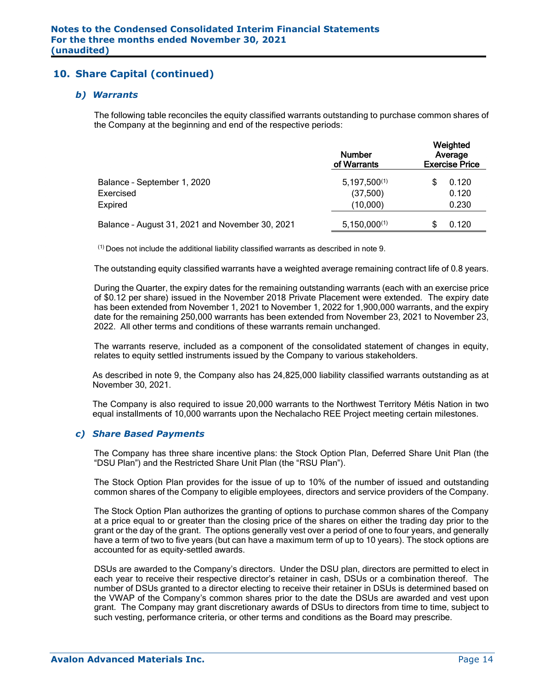## **10. Share Capital (continued)**

#### *b) Warrants*

The following table reconciles the equity classified warrants outstanding to purchase common shares of the Company at the beginning and end of the respective periods:

|                                                 | <b>Number</b><br>of Warrants | Weighted<br>Average<br><b>Exercise Price</b> |  |  |  |
|-------------------------------------------------|------------------------------|----------------------------------------------|--|--|--|
| Balance - September 1, 2020                     | $5,197,500^{(1)}$            | 0.120                                        |  |  |  |
| Exercised                                       | (37,500)                     | 0.120                                        |  |  |  |
| Expired                                         | (10,000)                     | 0.230                                        |  |  |  |
| Balance - August 31, 2021 and November 30, 2021 | $5,150,000^{(1)}$            | 0.120                                        |  |  |  |

 $<sup>(1)</sup>$  Does not include the additional liability classified warrants as described in note 9.</sup>

The outstanding equity classified warrants have a weighted average remaining contract life of 0.8 years.

During the Quarter, the expiry dates for the remaining outstanding warrants (each with an exercise price of \$0.12 per share) issued in the November 2018 Private Placement were extended. The expiry date has been extended from November 1, 2021 to November 1, 2022 for 1,900,000 warrants, and the expiry date for the remaining 250,000 warrants has been extended from November 23, 2021 to November 23, 2022. All other terms and conditions of these warrants remain unchanged.

The warrants reserve, included as a component of the consolidated statement of changes in equity, relates to equity settled instruments issued by the Company to various stakeholders.

As described in note 9, the Company also has 24,825,000 liability classified warrants outstanding as at November 30, 2021.

The Company is also required to issue 20,000 warrants to the Northwest Territory Métis Nation in two equal installments of 10,000 warrants upon the Nechalacho REE Project meeting certain milestones.

#### *c) Share Based Payments*

The Company has three share incentive plans: the Stock Option Plan, Deferred Share Unit Plan (the "DSU Plan") and the Restricted Share Unit Plan (the "RSU Plan").

The Stock Option Plan provides for the issue of up to 10% of the number of issued and outstanding common shares of the Company to eligible employees, directors and service providers of the Company.

The Stock Option Plan authorizes the granting of options to purchase common shares of the Company at a price equal to or greater than the closing price of the shares on either the trading day prior to the grant or the day of the grant. The options generally vest over a period of one to four years, and generally have a term of two to five years (but can have a maximum term of up to 10 years). The stock options are accounted for as equity-settled awards.

DSUs are awarded to the Company's directors. Under the DSU plan, directors are permitted to elect in each year to receive their respective director's retainer in cash, DSUs or a combination thereof. The number of DSUs granted to a director electing to receive their retainer in DSUs is determined based on the VWAP of the Company's common shares prior to the date the DSUs are awarded and vest upon grant. The Company may grant discretionary awards of DSUs to directors from time to time, subject to such vesting, performance criteria, or other terms and conditions as the Board may prescribe.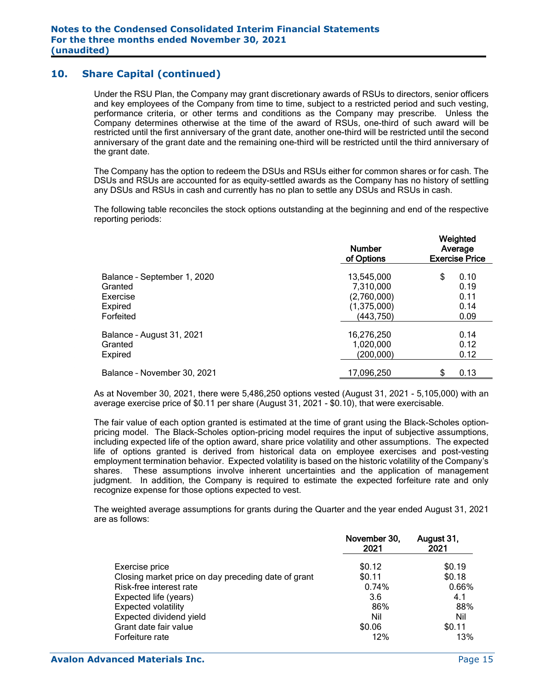## **10. Share Capital (continued)**

Under the RSU Plan, the Company may grant discretionary awards of RSUs to directors, senior officers and key employees of the Company from time to time, subject to a restricted period and such vesting, performance criteria, or other terms and conditions as the Company may prescribe. Unless the Company determines otherwise at the time of the award of RSUs, one-third of such award will be restricted until the first anniversary of the grant date, another one-third will be restricted until the second anniversary of the grant date and the remaining one-third will be restricted until the third anniversary of the grant date.

The Company has the option to redeem the DSUs and RSUs either for common shares or for cash. The DSUs and RSUs are accounted for as equity-settled awards as the Company has no history of settling any DSUs and RSUs in cash and currently has no plan to settle any DSUs and RSUs in cash.

The following table reconciles the stock options outstanding at the beginning and end of the respective reporting periods:

| <b>Number</b><br>of Options | Weighted<br>Average<br><b>Exercise Price</b>                        |  |  |  |
|-----------------------------|---------------------------------------------------------------------|--|--|--|
|                             | \$<br>0.10                                                          |  |  |  |
|                             | 0.19                                                                |  |  |  |
|                             | 0.11                                                                |  |  |  |
|                             | 0.14                                                                |  |  |  |
| (443, 750)                  | 0.09                                                                |  |  |  |
|                             | 0.14                                                                |  |  |  |
| 1,020,000                   | 0.12                                                                |  |  |  |
| (200, 000)                  | 0.12                                                                |  |  |  |
| 17,096,250                  | 0.13<br>S                                                           |  |  |  |
|                             | 13,545,000<br>7,310,000<br>(2,760,000)<br>(1,375,000)<br>16,276,250 |  |  |  |

As at November 30, 2021, there were 5,486,250 options vested (August 31, 2021 - 5,105,000) with an average exercise price of \$0.11 per share (August 31, 2021 - \$0.10), that were exercisable.

The fair value of each option granted is estimated at the time of grant using the Black-Scholes optionpricing model. The Black-Scholes option-pricing model requires the input of subjective assumptions, including expected life of the option award, share price volatility and other assumptions. The expected life of options granted is derived from historical data on employee exercises and post-vesting employment termination behavior. Expected volatility is based on the historic volatility of the Company's shares. These assumptions involve inherent uncertainties and the application of management judgment. In addition, the Company is required to estimate the expected forfeiture rate and only recognize expense for those options expected to vest.

The weighted average assumptions for grants during the Quarter and the year ended August 31, 2021 are as follows:

|                                                     | November 30,<br>2021 | August 31,<br>2021 |
|-----------------------------------------------------|----------------------|--------------------|
| Exercise price                                      | \$0.12               | \$0.19             |
| Closing market price on day preceding date of grant | \$0.11               | \$0.18             |
| Risk-free interest rate                             | 0.74%                | 0.66%              |
| Expected life (years)                               | 3.6                  | 4.1                |
| <b>Expected volatility</b>                          | 86%                  | 88%                |
| Expected dividend yield                             | Nil                  | Nil                |
| Grant date fair value                               | \$0.06               | \$0.11             |
| Forfeiture rate                                     | 12%                  | 13%                |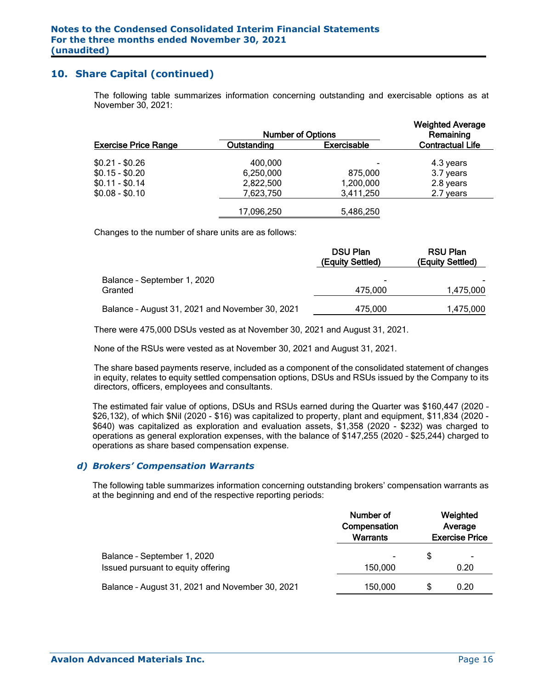### **10. Share Capital (continued)**

The following table summarizes information concerning outstanding and exercisable options as at November 30, 2021:

|                             | <b>Number of Options</b> |                    | <b>Weighted Average</b><br>Remaining |
|-----------------------------|--------------------------|--------------------|--------------------------------------|
| <b>Exercise Price Range</b> | Outstanding              | <b>Exercisable</b> | <b>Contractual Life</b>              |
| $$0.21 - $0.26$             | 400,000                  |                    | 4.3 years                            |
| $$0.15 - $0.20$             | 6,250,000                | 875,000            | 3.7 years                            |
| $$0.11 - $0.14$             | 2,822,500                | 1,200,000          | 2.8 years                            |
| $$0.08 - $0.10$             | 7,623,750                | 3,411,250          | 2.7 years                            |
|                             | 17,096,250               | 5,486,250          |                                      |

Changes to the number of share units are as follows:

|                                                 | <b>DSU Plan</b><br>(Equity Settled) | <b>RSU Plan</b><br>(Equity Settled) |
|-------------------------------------------------|-------------------------------------|-------------------------------------|
| Balance - September 1, 2020<br>Granted          | $\blacksquare$<br>475.000           | 1,475,000                           |
| Balance - August 31, 2021 and November 30, 2021 | 475,000                             | 1,475,000                           |

There were 475,000 DSUs vested as at November 30, 2021 and August 31, 2021.

None of the RSUs were vested as at November 30, 2021 and August 31, 2021.

The share based payments reserve, included as a component of the consolidated statement of changes in equity, relates to equity settled compensation options, DSUs and RSUs issued by the Company to its directors, officers, employees and consultants.

The estimated fair value of options, DSUs and RSUs earned during the Quarter was \$160,447 (2020 – \$26,132), of which \$Nil (2020 - \$16) was capitalized to property, plant and equipment, \$11,834 (2020 - \$640) was capitalized as exploration and evaluation assets, \$1,358 (2020 - \$232) was charged to operations as general exploration expenses, with the balance of \$147,255 (2020 – \$25,244) charged to operations as share based compensation expense.

#### *d) Brokers' Compensation Warrants*

The following table summarizes information concerning outstanding brokers' compensation warrants as at the beginning and end of the respective reporting periods:

|                                                 | Number of<br>Compensation<br><b>Warrants</b> | Weighted<br>Average<br><b>Exercise Price</b> |      |  |
|-------------------------------------------------|----------------------------------------------|----------------------------------------------|------|--|
| Balance - September 1, 2020                     |                                              | \$                                           | ٠    |  |
| Issued pursuant to equity offering              | 150,000                                      |                                              | 0.20 |  |
| Balance - August 31, 2021 and November 30, 2021 | 150,000                                      | S                                            | 0.20 |  |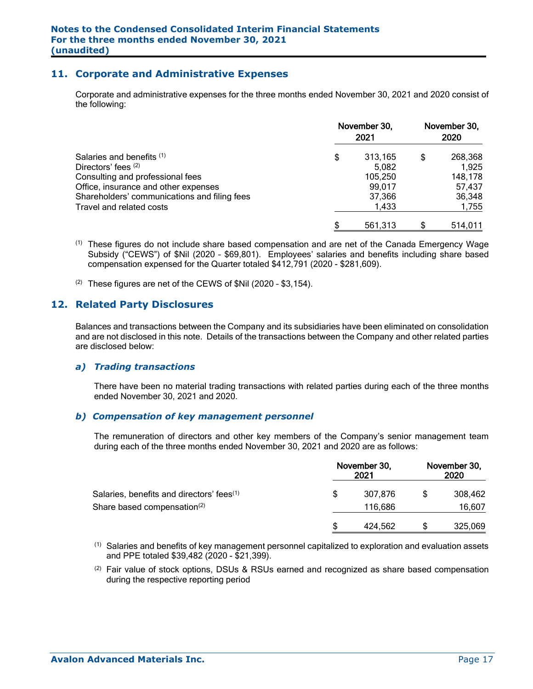### **11. Corporate and Administrative Expenses**

Corporate and administrative expenses for the three months ended November 30, 2021 and 2020 consist of the following:

|                                              | November 30,<br>2021 | November 30,<br>2020 |         |  |
|----------------------------------------------|----------------------|----------------------|---------|--|
| Salaries and benefits (1)                    | \$<br>313,165        | S                    | 268,368 |  |
| Directors' fees (2)                          | 5.082                |                      | 1,925   |  |
| Consulting and professional fees             | 105,250              |                      | 148,178 |  |
| Office, insurance and other expenses         | 99,017               |                      | 57,437  |  |
| Shareholders' communications and filing fees | 37,366               |                      | 36,348  |  |
| Travel and related costs                     | 1.433                |                      | 1,755   |  |
|                                              | \$<br>561,313        |                      | 514,011 |  |

- (1) These figures do not include share based compensation and are net of the Canada Emergency Wage Subsidy ("CEWS") of \$Nil (2020 – \$69,801). Employees' salaries and benefits including share based compensation expensed for the Quarter totaled \$412,791 (2020 - \$281,609).
- $(2)$  These figures are net of the CEWS of \$Nil (2020 \$3,154).

### **12. Related Party Disclosures**

Balances and transactions between the Company and its subsidiaries have been eliminated on consolidation and are not disclosed in this note. Details of the transactions between the Company and other related parties are disclosed below:

#### *a) Trading transactions*

There have been no material trading transactions with related parties during each of the three months ended November 30, 2021 and 2020.

#### *b) Compensation of key management personnel*

The remuneration of directors and other key members of the Company's senior management team during each of the three months ended November 30, 2021 and 2020 are as follows:

|                                                       | November 30,<br>2021 |         | November 30,<br>2020 |         |  |
|-------------------------------------------------------|----------------------|---------|----------------------|---------|--|
| Salaries, benefits and directors' fees <sup>(1)</sup> | \$                   | 307.876 |                      | 308,462 |  |
| Share based compensation <sup>(2)</sup>               |                      | 116.686 |                      | 16,607  |  |
|                                                       | S                    | 424,562 |                      | 325,069 |  |

- $<sup>(1)</sup>$  Salaries and benefits of key management personnel capitalized to exploration and evaluation assets</sup> and PPE totaled \$39,482 (2020 - \$21,399).
- (2) Fair value of stock options, DSUs & RSUs earned and recognized as share based compensation during the respective reporting period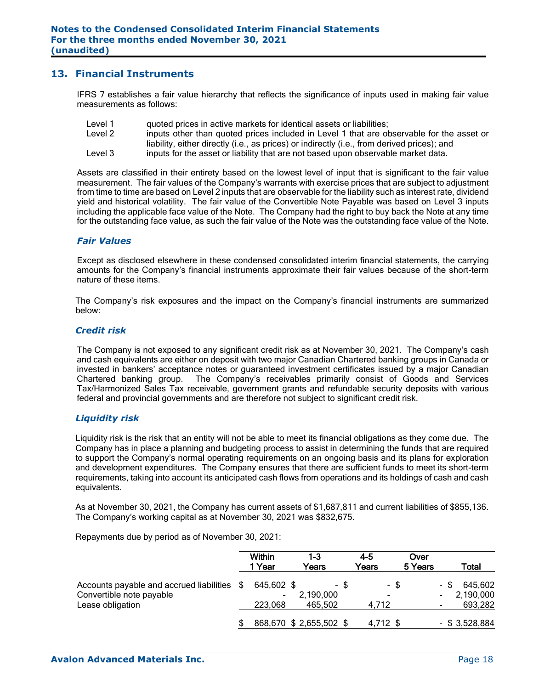### **13. Financial Instruments**

IFRS 7 establishes a fair value hierarchy that reflects the significance of inputs used in making fair value measurements as follows:

- Level 1 quoted prices in active markets for identical assets or liabilities;
- Level 2 inputs other than quoted prices included in Level 1 that are observable for the asset or liability, either directly (i.e., as prices) or indirectly (i.e., from derived prices); and
- Level 3 inputs for the asset or liability that are not based upon observable market data.

Assets are classified in their entirety based on the lowest level of input that is significant to the fair value measurement. The fair values of the Company's warrants with exercise prices that are subject to adjustment from time to time are based on Level 2 inputs that are observable for the liability such as interest rate, dividend yield and historical volatility. The fair value of the Convertible Note Payable was based on Level 3 inputs including the applicable face value of the Note. The Company had the right to buy back the Note at any time for the outstanding face value, as such the fair value of the Note was the outstanding face value of the Note.

#### *Fair Values*

Except as disclosed elsewhere in these condensed consolidated interim financial statements, the carrying amounts for the Company's financial instruments approximate their fair values because of the short-term nature of these items.

The Company's risk exposures and the impact on the Company's financial instruments are summarized below:

#### *Credit risk*

The Company is not exposed to any significant credit risk as at November 30, 2021. The Company's cash and cash equivalents are either on deposit with two major Canadian Chartered banking groups in Canada or invested in bankers' acceptance notes or guaranteed investment certificates issued by a major Canadian Chartered banking group. The Company's receivables primarily consist of Goods and Services Tax/Harmonized Sales Tax receivable, government grants and refundable security deposits with various federal and provincial governments and are therefore not subject to significant credit risk.

#### *Liquidity risk*

Liquidity risk is the risk that an entity will not be able to meet its financial obligations as they come due. The Company has in place a planning and budgeting process to assist in determining the funds that are required to support the Company's normal operating requirements on an ongoing basis and its plans for exploration and development expenditures. The Company ensures that there are sufficient funds to meet its short-term requirements, taking into account its anticipated cash flows from operations and its holdings of cash and cash equivalents.

As at November 30, 2021, the Company has current assets of \$1,687,811 and current liabilities of \$855,136. The Company's working capital as at November 30, 2021 was \$832,675.

Repayments due by period as of November 30, 2021:

|                                                                                          | <b>Within</b><br>1 Year                 | 1-3<br>Years           |      | $4 - 5$<br>Years | Over<br>5 Years |      | <b>Total</b>                    |
|------------------------------------------------------------------------------------------|-----------------------------------------|------------------------|------|------------------|-----------------|------|---------------------------------|
| Accounts payable and accrued liabilities<br>Convertible note payable<br>Lease obligation | 645,602 \$<br>$\blacksquare$<br>223,068 | 2,190,000<br>465.502   | - \$ | - \$<br>4.712    |                 | - \$ | 645,602<br>2,190,000<br>693,282 |
|                                                                                          |                                         | 868,670 \$2,655,502 \$ |      | 4,712 \$         |                 |      | $-$ \$ 3,528,884                |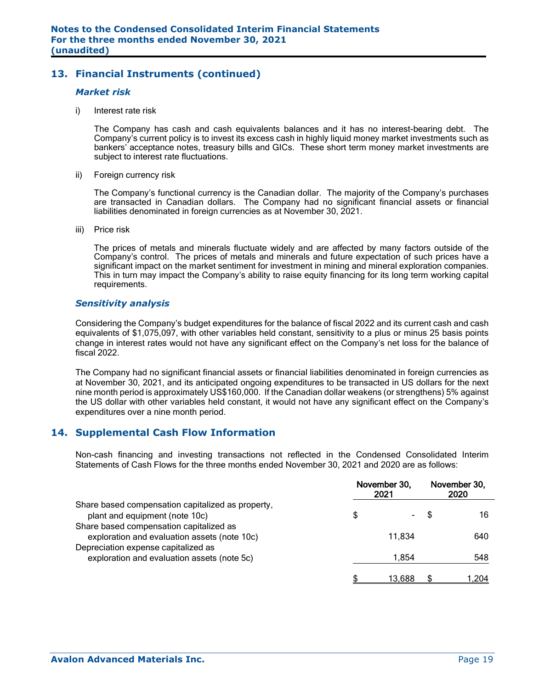## **13. Financial Instruments (continued)**

#### *Market risk*

i) Interest rate risk

The Company has cash and cash equivalents balances and it has no interest-bearing debt. The Company's current policy is to invest its excess cash in highly liquid money market investments such as bankers' acceptance notes, treasury bills and GICs. These short term money market investments are subject to interest rate fluctuations.

ii) Foreign currency risk

The Company's functional currency is the Canadian dollar. The majority of the Company's purchases are transacted in Canadian dollars. The Company had no significant financial assets or financial liabilities denominated in foreign currencies as at November 30, 2021.

iii) Price risk

The prices of metals and minerals fluctuate widely and are affected by many factors outside of the Company's control. The prices of metals and minerals and future expectation of such prices have a significant impact on the market sentiment for investment in mining and mineral exploration companies. This in turn may impact the Company's ability to raise equity financing for its long term working capital requirements.

#### *Sensitivity analysis*

Considering the Company's budget expenditures for the balance of fiscal 2022 and its current cash and cash equivalents of \$1,075,097, with other variables held constant, sensitivity to a plus or minus 25 basis points change in interest rates would not have any significant effect on the Company's net loss for the balance of fiscal 2022.

The Company had no significant financial assets or financial liabilities denominated in foreign currencies as at November 30, 2021, and its anticipated ongoing expenditures to be transacted in US dollars for the next nine month period is approximately US\$160,000. If the Canadian dollar weakens (or strengthens) 5% against the US dollar with other variables held constant, it would not have any significant effect on the Company's expenditures over a nine month period.

### **14. Supplemental Cash Flow Information**

Non-cash financing and investing transactions not reflected in the Condensed Consolidated Interim Statements of Cash Flows for the three months ended November 30, 2021 and 2020 are as follows:

|                                                                                         | November 30,<br>2021 |  | November 30,<br>2020 |  |  |
|-----------------------------------------------------------------------------------------|----------------------|--|----------------------|--|--|
| Share based compensation capitalized as property,<br>plant and equipment (note 10c)     | \$<br>$\blacksquare$ |  | 16                   |  |  |
| Share based compensation capitalized as<br>exploration and evaluation assets (note 10c) | 11,834               |  | 640                  |  |  |
| Depreciation expense capitalized as<br>exploration and evaluation assets (note 5c)      | 1.854                |  | 548                  |  |  |
|                                                                                         | 13.688               |  | 1.204                |  |  |